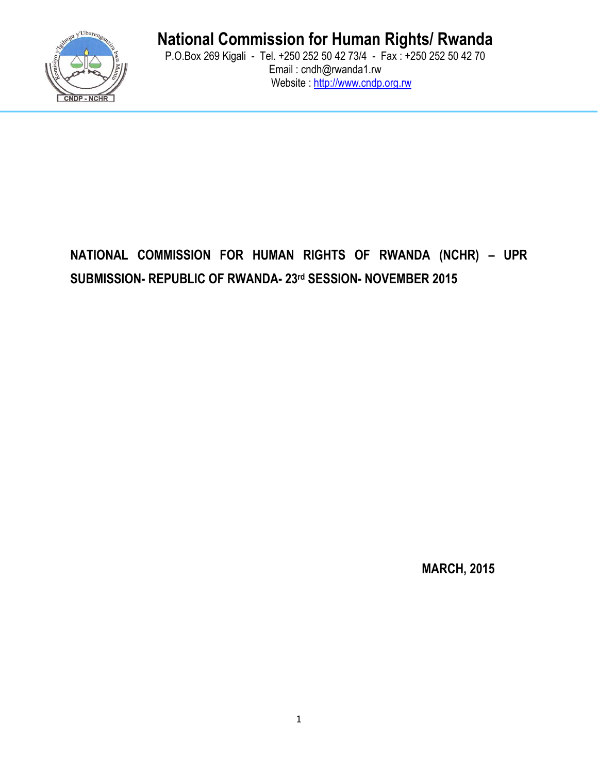

# **National Commission for Human Rights/ Rwanda**

P.O.Box 269 Kigali - Tel. +250 252 50 42 73/4 - Fax : +250 252 50 42 70 Email : cndh@rwanda1.rw Website : http://www.cndp.org.rw

# **NATIONAL COMMISSION FOR HUMAN RIGHTS OF RWANDA (NCHR) – UPR SUBMISSION- REPUBLIC OF RWANDA- 23rd SESSION- NOVEMBER 2015**

**MARCH, 2015**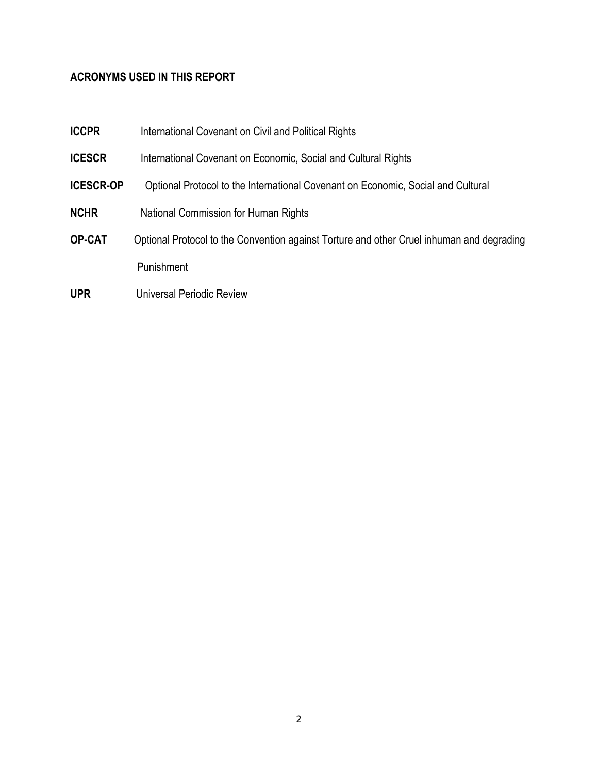## **ACRONYMS USED IN THIS REPORT**

| <b>ICCPR</b>     | International Covenant on Civil and Political Rights                                      |
|------------------|-------------------------------------------------------------------------------------------|
| <b>ICESCR</b>    | International Covenant on Economic, Social and Cultural Rights                            |
| <b>ICESCR-OP</b> | Optional Protocol to the International Covenant on Economic, Social and Cultural          |
| <b>NCHR</b>      | National Commission for Human Rights                                                      |
| <b>OP-CAT</b>    | Optional Protocol to the Convention against Torture and other Cruel inhuman and degrading |
|                  | Punishment                                                                                |
| <b>UPR</b>       | Universal Periodic Review                                                                 |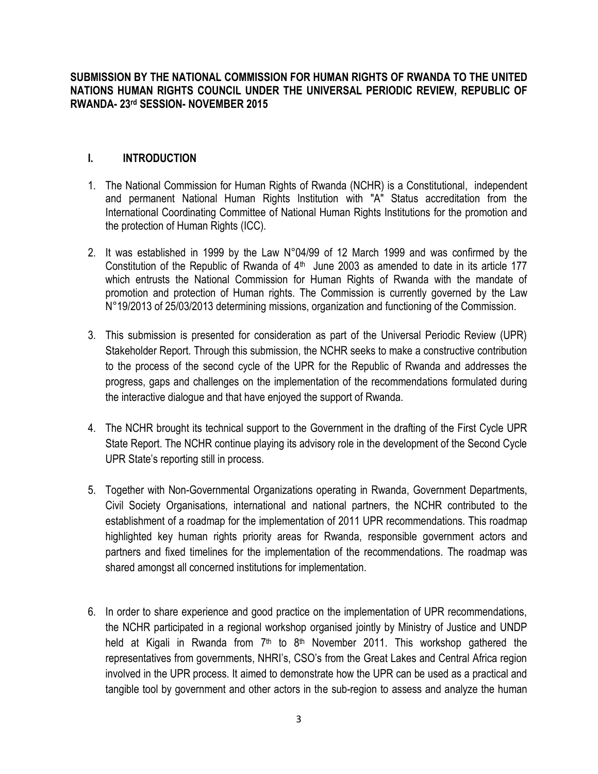**SUBMISSION BY THE NATIONAL COMMISSION FOR HUMAN RIGHTS OF RWANDA TO THE UNITED NATIONS HUMAN RIGHTS COUNCIL UNDER THE UNIVERSAL PERIODIC REVIEW, REPUBLIC OF RWANDA- 23rd SESSION- NOVEMBER 2015**

### **I. INTRODUCTION**

- 1. The National Commission for Human Rights of Rwanda (NCHR) is a Constitutional, independent and permanent National Human Rights Institution with ″A″ Status accreditation from the International Coordinating Committee of National Human Rights Institutions for the promotion and the protection of Human Rights (ICC).
- 2. It was established in 1999 by the Law N°04/99 of 12 March 1999 and was confirmed by the Constitution of the Republic of Rwanda of  $4<sup>th</sup>$  June 2003 as amended to date in its article 177 which entrusts the National Commission for Human Rights of Rwanda with the mandate of promotion and protection of Human rights. The Commission is currently governed by the Law N°19/2013 of 25/03/2013 determining missions, organization and functioning of the Commission.
- 3. This submission is presented for consideration as part of the Universal Periodic Review (UPR) Stakeholder Report. Through this submission, the NCHR seeks to make a constructive contribution to the process of the second cycle of the UPR for the Republic of Rwanda and addresses the progress, gaps and challenges on the implementation of the recommendations formulated during the interactive dialogue and that have enjoyed the support of Rwanda.
- 4. The NCHR brought its technical support to the Government in the drafting of the First Cycle UPR State Report. The NCHR continue playing its advisory role in the development of the Second Cycle UPR State's reporting still in process.
- 5. Together with Non-Governmental Organizations operating in Rwanda, Government Departments, Civil Society Organisations, international and national partners, the NCHR contributed to the establishment of a roadmap for the implementation of 2011 UPR recommendations. This roadmap highlighted key human rights priority areas for Rwanda, responsible government actors and partners and fixed timelines for the implementation of the recommendations. The roadmap was shared amongst all concerned institutions for implementation.
- 6. In order to share experience and good practice on the implementation of UPR recommendations, the NCHR participated in a regional workshop organised jointly by Ministry of Justice and UNDP held at Kigali in Rwanda from 7<sup>th</sup> to 8<sup>th</sup> November 2011. This workshop gathered the representatives from governments, NHRI's, CSO's from the Great Lakes and Central Africa region involved in the UPR process. It aimed to demonstrate how the UPR can be used as a practical and tangible tool by government and other actors in the sub-region to assess and analyze the human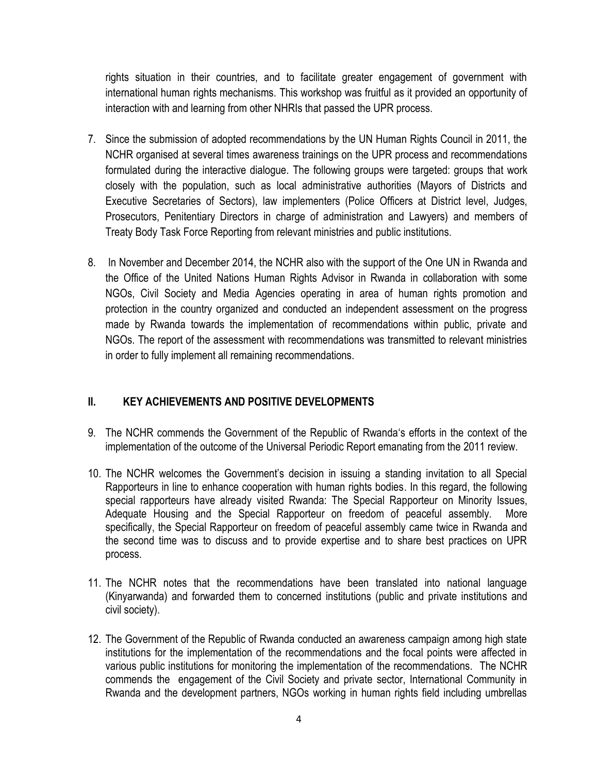rights situation in their countries, and to facilitate greater engagement of government with international human rights mechanisms. This workshop was fruitful as it provided an opportunity of interaction with and learning from other NHRIs that passed the UPR process.

- 7. Since the submission of adopted recommendations by the UN Human Rights Council in 2011, the NCHR organised at several times awareness trainings on the UPR process and recommendations formulated during the interactive dialogue. The following groups were targeted: groups that work closely with the population, such as local administrative authorities (Mayors of Districts and Executive Secretaries of Sectors), law implementers (Police Officers at District level, Judges, Prosecutors, Penitentiary Directors in charge of administration and Lawyers) and members of Treaty Body Task Force Reporting from relevant ministries and public institutions.
- 8. In November and December 2014, the NCHR also with the support of the One UN in Rwanda and the Office of the United Nations Human Rights Advisor in Rwanda in collaboration with some NGOs, Civil Society and Media Agencies operating in area of human rights promotion and protection in the country organized and conducted an independent assessment on the progress made by Rwanda towards the implementation of recommendations within public, private and NGOs. The report of the assessment with recommendations was transmitted to relevant ministries in order to fully implement all remaining recommendations.

## **II. KEY ACHIEVEMENTS AND POSITIVE DEVELOPMENTS**

- 9. The NCHR commends the Government of the Republic of Rwanda's efforts in the context of the implementation of the outcome of the Universal Periodic Report emanating from the 2011 review.
- 10. The NCHR welcomes the Government's decision in issuing a standing invitation to all Special Rapporteurs in line to enhance cooperation with human rights bodies. In this regard, the following special rapporteurs have already visited Rwanda: The Special Rapporteur on Minority Issues, Adequate Housing and the Special Rapporteur on freedom of peaceful assembly. More specifically, the Special Rapporteur on freedom of peaceful assembly came twice in Rwanda and the second time was to discuss and to provide expertise and to share best practices on UPR process.
- 11. The NCHR notes that the recommendations have been translated into national language (Kinyarwanda) and forwarded them to concerned institutions (public and private institutions and civil society).
- 12. The Government of the Republic of Rwanda conducted an awareness campaign among high state institutions for the implementation of the recommendations and the focal points were affected in various public institutions for monitoring the implementation of the recommendations. The NCHR commends the engagement of the Civil Society and private sector, International Community in Rwanda and the development partners, NGOs working in human rights field including umbrellas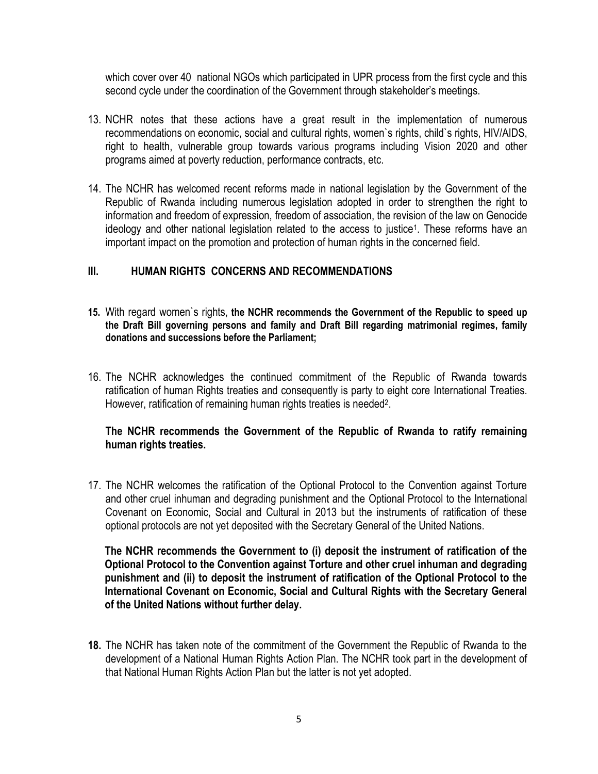which cover over 40 national NGOs which participated in UPR process from the first cycle and this second cycle under the coordination of the Government through stakeholder's meetings.

- 13. NCHR notes that these actions have a great result in the implementation of numerous recommendations on economic, social and cultural rights, women`s rights, child`s rights, HIV/AIDS, right to health, vulnerable group towards various programs including Vision 2020 and other programs aimed at poverty reduction, performance contracts, etc.
- 14. The NCHR has welcomed recent reforms made in national legislation by the Government of the Republic of Rwanda including numerous legislation adopted in order to strengthen the right to information and freedom of expression, freedom of association, the revision of the law on Genocide ideology and other national legislation related to the access to justice<sup>1</sup>. These reforms have an important impact on the promotion and protection of human rights in the concerned field.

#### **III. HUMAN RIGHTS CONCERNS AND RECOMMENDATIONS**

- **15.** With regard women`s rights, **the NCHR recommends the Government of the Republic to speed up the Draft Bill governing persons and family and Draft Bill regarding matrimonial regimes, family donations and successions before the Parliament;**
- 16. The NCHR acknowledges the continued commitment of the Republic of Rwanda towards ratification of human Rights treaties and consequently is party to eight core International Treaties. However, ratification of remaining human rights treaties is needed<sup>2</sup>.

#### **The NCHR recommends the Government of the Republic of Rwanda to ratify remaining human rights treaties.**

17. The NCHR welcomes the ratification of the Optional Protocol to the Convention against Torture and other cruel inhuman and degrading punishment and the Optional Protocol to the International Covenant on Economic, Social and Cultural in 2013 but the instruments of ratification of these optional protocols are not yet deposited with the Secretary General of the United Nations.

**The NCHR recommends the Government to (i) deposit the instrument of ratification of the Optional Protocol to the Convention against Torture and other cruel inhuman and degrading punishment and (ii) to deposit the instrument of ratification of the Optional Protocol to the International Covenant on Economic, Social and Cultural Rights with the Secretary General of the United Nations without further delay.**

**18.** The NCHR has taken note of the commitment of the Government the Republic of Rwanda to the development of a National Human Rights Action Plan. The NCHR took part in the development of that National Human Rights Action Plan but the latter is not yet adopted.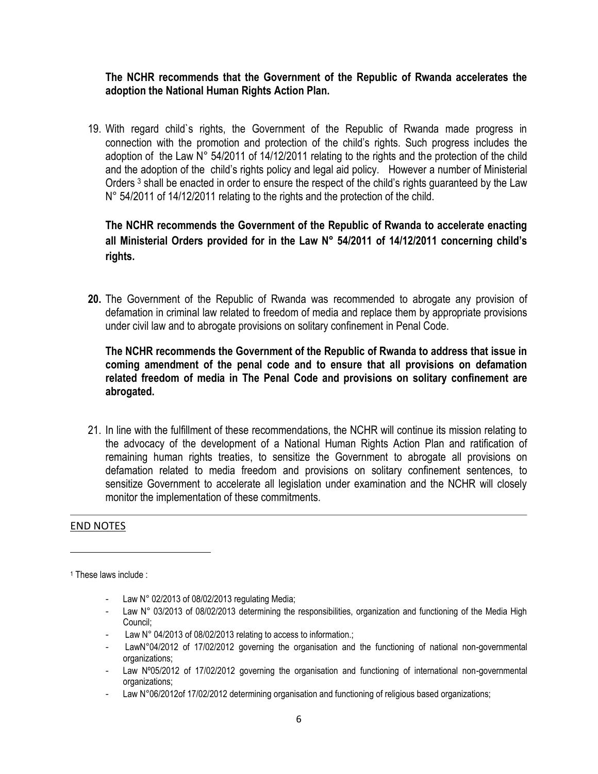#### **The NCHR recommends that the Government of the Republic of Rwanda accelerates the adoption the National Human Rights Action Plan.**

19. With regard child`s rights, the Government of the Republic of Rwanda made progress in connection with the promotion and protection of the child's rights. Such progress includes the adoption of the Law N° 54/2011 of 14/12/2011 relating to the rights and the protection of the child and the adoption of the child's rights policy and legal aid policy. However a number of Ministerial Orders<sup>3</sup> shall be enacted in order to ensure the respect of the child's rights guaranteed by the Law N° 54/2011 of 14/12/2011 relating to the rights and the protection of the child.

### **The NCHR recommends the Government of the Republic of Rwanda to accelerate enacting all Ministerial Orders provided for in the Law N° 54/2011 of 14/12/2011 concerning child's rights.**

**20.** The Government of the Republic of Rwanda was recommended to abrogate any provision of defamation in criminal law related to freedom of media and replace them by appropriate provisions under civil law and to abrogate provisions on solitary confinement in Penal Code.

**The NCHR recommends the Government of the Republic of Rwanda to address that issue in coming amendment of the penal code and to ensure that all provisions on defamation related freedom of media in The Penal Code and provisions on solitary confinement are abrogated.**

21. In line with the fulfillment of these recommendations, the NCHR will continue its mission relating to the advocacy of the development of a National Human Rights Action Plan and ratification of remaining human rights treaties, to sensitize the Government to abrogate all provisions on defamation related to media freedom and provisions on solitary confinement sentences, to sensitize Government to accelerate all legislation under examination and the NCHR will closely monitor the implementation of these commitments.

#### END NOTES

 $\overline{\phantom{a}}$ 

- Law N° 02/2013 of 08/02/2013 regulating Media;
- Law N° 03/2013 of 08/02/2013 determining the responsibilities, organization and functioning of the Media High Council;
- Law N° 04/2013 of 08/02/2013 relating to access to information.;
- LawN°04/2012 of 17/02/2012 governing the organisation and the functioning of national non-governmental organizations;
- Law Nº05/2012 of 17/02/2012 governing the organisation and functioning of international non-governmental organizations;
- Law N°06/2012of 17/02/2012 determining organisation and functioning of religious based organizations;

<sup>1</sup> These laws include :